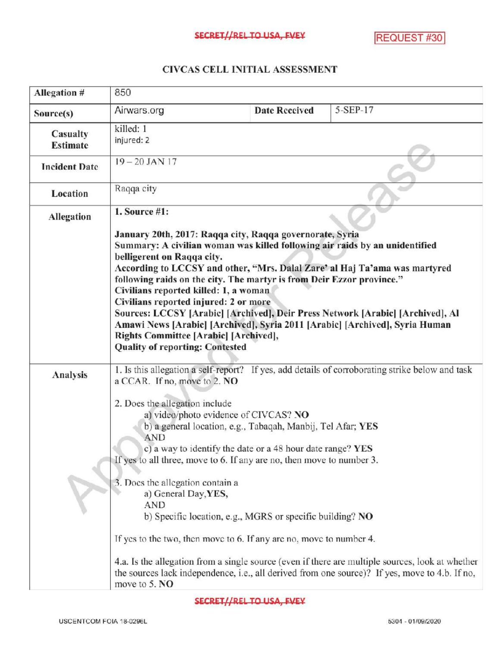## CIVCASCELLINITIALASSESSMENT

| Allegation #                | 850                                                                                                                                                                                                                                                                                                                                                                                                                                                                                                                                                 |                      |                                                                                                                                                                                                                                                                                                       |
|-----------------------------|-----------------------------------------------------------------------------------------------------------------------------------------------------------------------------------------------------------------------------------------------------------------------------------------------------------------------------------------------------------------------------------------------------------------------------------------------------------------------------------------------------------------------------------------------------|----------------------|-------------------------------------------------------------------------------------------------------------------------------------------------------------------------------------------------------------------------------------------------------------------------------------------------------|
| Source(s)                   | Airwars.org                                                                                                                                                                                                                                                                                                                                                                                                                                                                                                                                         | <b>Date Received</b> | 5-SEP-17                                                                                                                                                                                                                                                                                              |
| Casualty<br><b>Estimate</b> | killed: 1<br>injured: 2<br>$19 - 20$ JAN 17                                                                                                                                                                                                                                                                                                                                                                                                                                                                                                         |                      |                                                                                                                                                                                                                                                                                                       |
| <b>Incident Date</b>        |                                                                                                                                                                                                                                                                                                                                                                                                                                                                                                                                                     |                      |                                                                                                                                                                                                                                                                                                       |
| Location                    | Raqqa city                                                                                                                                                                                                                                                                                                                                                                                                                                                                                                                                          |                      |                                                                                                                                                                                                                                                                                                       |
| Allegation                  | 1. Source $#1$ :<br>January 20th, 2017: Raqqa city, Raqqa governorate, Syria<br>Summary: A civilian woman was killed following air raids by an unidentified<br>belligerent on Raqqa city.                                                                                                                                                                                                                                                                                                                                                           |                      |                                                                                                                                                                                                                                                                                                       |
|                             | According to LCCSY and other, "Mrs. Dalal Zare' al Haj Ta'ama was martyred<br>following raids on the city. The martyr is from Deir Ezzor province."<br>Civilians reported killed: 1, a woman<br>Civilians reported injured: 2 or more<br>Amawi News [Arabic] [Archived], Syria 2011 [Arabic] [Archived], Syria Human<br>Rights Committee [Arabic] [Archived],<br><b>Quality of reporting: Contested</b>                                                                                                                                             |                      | Sources: LCCSY [Arabic] [Archived], Deir Press Network [Arabic] [Archived], Al                                                                                                                                                                                                                        |
| Analysis                    | a CCAR. If no, move to 2. NO<br>2. Does the allegation include<br>a) video/photo evidence of CIVCAS? NO<br>b) a general location, e.g., Tabaqah, Manbij, Tel Afar; YES<br><b>AND</b><br>c) a way to identify the date or a 48 hour date range? YES<br>If yes to all three, move to 6. If any are no, then move to number 3.<br>3. Does the allegation contain a<br>a) General Day, YES,<br>AND<br>b) Specific location, e.g., MGRS or specific building? NO<br>If yes to the two, then move to 6. If any are no, move to number 4.<br>move to 5. NO |                      | 1. Is this allegation a self-report? If yes, add details of corroborating strike below and task<br>4.a. Is the allegation from a single source (even if there are multiple sources, look at whether<br>the sources lack independence, i.e., all derived from one source)? If yes, move to 4.b. If no, |

SECRET//REL TO USA, FVEY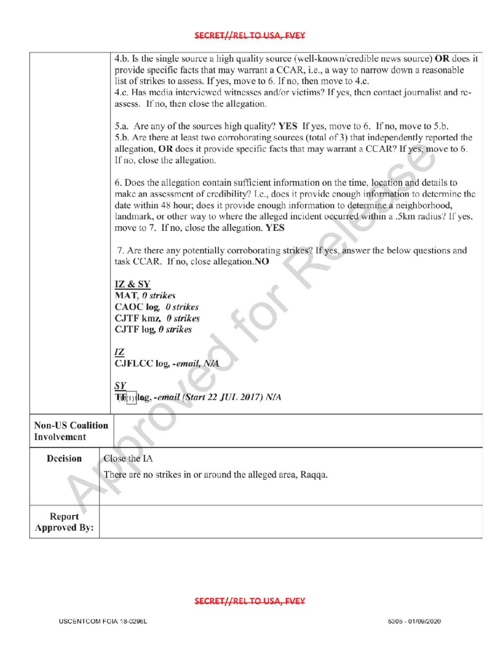## **SECRET//REL TO USA, FVEY**

|                                        | 4.b. Is the single source a high quality source (well-known/credible news source) OR does it<br>provide specific facts that may warrant a CCAR, i.e., a way to narrow down a reasonable<br>list of strikes to assess. If yes, move to 6. If no, then move to 4.c.<br>4.c. Has media interviewed witnesses and/or victims? If yes, then contact journalist and re-<br>assess. If no, then close the allegation.<br>5.a. Are any of the sources high quality? YES If yes, move to 6. If no, move to 5.b.<br>5.b. Are there at least two corroborating sources (total of 3) that independently reported the |  |
|----------------------------------------|----------------------------------------------------------------------------------------------------------------------------------------------------------------------------------------------------------------------------------------------------------------------------------------------------------------------------------------------------------------------------------------------------------------------------------------------------------------------------------------------------------------------------------------------------------------------------------------------------------|--|
|                                        | allegation, OR does it provide specific facts that may warrant a CCAR? If yes, move to 6.<br>If no, close the allegation.                                                                                                                                                                                                                                                                                                                                                                                                                                                                                |  |
|                                        | 6. Does the allegation contain sufficient information on the time, location and details to<br>make an assessment of credibility? I.e., does it provide enough information to determine the<br>date within 48 hour; does it provide enough information to determine a neighborhood,<br>landmark, or other way to where the alleged incident occurred within a .5km radius? If yes,<br>move to 7. If no, close the allegation. YES                                                                                                                                                                         |  |
|                                        | 7. Are there any potentially corroborating strikes? If yes, answer the below questions and<br>task CCAR. If no, close allegation.NO                                                                                                                                                                                                                                                                                                                                                                                                                                                                      |  |
|                                        | IZ & SY<br>MAT, 0 strikes<br>CAOC log, 0 strikes<br>CJTF kmz, 0 strikes<br>CJTF $log$ , $\theta$ strikes                                                                                                                                                                                                                                                                                                                                                                                                                                                                                                 |  |
|                                        | IZ<br>CJFLCC log, -email, N/A                                                                                                                                                                                                                                                                                                                                                                                                                                                                                                                                                                            |  |
|                                        | SY<br>lag, - email (Start 22 JUL 2017) N/A                                                                                                                                                                                                                                                                                                                                                                                                                                                                                                                                                               |  |
| <b>Non-US Coalition</b><br>Involvement |                                                                                                                                                                                                                                                                                                                                                                                                                                                                                                                                                                                                          |  |
| Decision                               | Close the IA<br>There are no strikes in or around the alleged area, Raqqa.                                                                                                                                                                                                                                                                                                                                                                                                                                                                                                                               |  |
| Report<br><b>Approved By:</b>          |                                                                                                                                                                                                                                                                                                                                                                                                                                                                                                                                                                                                          |  |